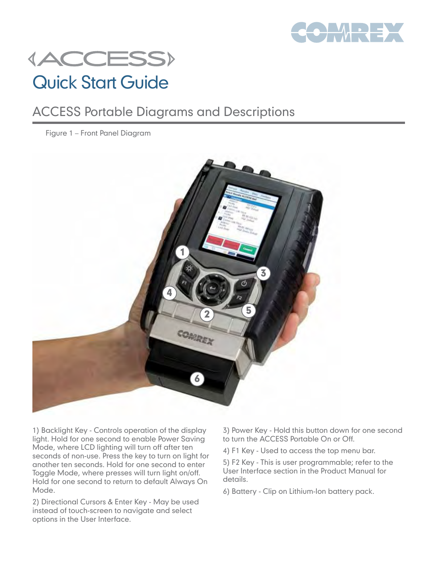

# **{ACCESS}** Quick Start Guide

### ACCESS Portable Diagrams and Descriptions

Figure 1 – Front Panel Diagram



1) Backlight Key - Controls operation of the display light. Hold for one second to enable Power Saving Mode, where LCD lighting will turn off after ten seconds of non-use. Press the key to turn on light for another ten seconds. Hold for one second to enter Toggle Mode, where presses will turn light on/off. Hold for one second to return to default Always On Mode.

2) Directional Cursors & Enter Key - May be used instead of touch-screen to navigate and select options in the User Interface.

- 3) Power Key Hold this button down for one second to turn the ACCESS Portable On or Off.
- 4) F1 Key Used to access the top menu bar.

5) F2 Key - This is user programmable; refer to the User Interface section in the Product Manual for details.

6) Battery - Clip on Lithium-Ion battery pack.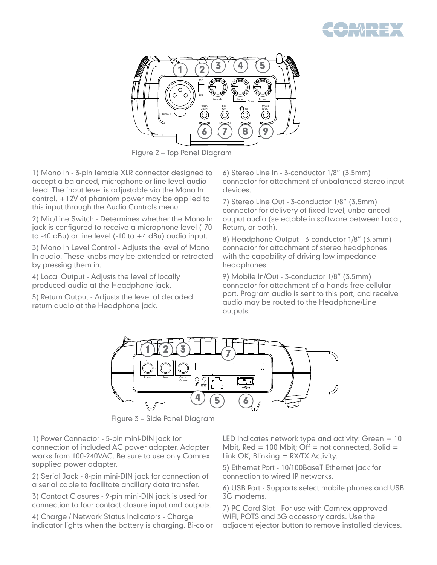



Figure 2 – Top Panel Diagram

1) Mono In - 3-pin female XLR connector designed to accept a balanced, microphone or line level audio feed. The input level is adjustable via the Mono In control. +12V of phantom power may be applied to this input through the Audio Controls menu.

2) Mic/Line Switch - Determines whether the Mono In jack is configured to receive a microphone level (-70 to -40 dBu) or line level (-10 to +4 dBu) audio input.

3) Mono In Level Control - Adjusts the level of Mono In audio. These knobs may be extended or retracted by pressing them in.

4) Local Output - Adjusts the level of locally produced audio at the Headphone jack.

5) Return Output - Adjusts the level of decoded return audio at the Headphone jack.

6) Stereo Line In - 3-conductor 1/8" (3.5mm) connector for attachment of unbalanced stereo input devices.

7) Stereo Line Out - 3-conductor 1/8" (3.5mm) connector for delivery of fixed level, unbalanced output audio (selectable in software between Local, Return, or both).

8) Headphone Output - 3-conductor 1/8" (3.5mm) connector for attachment of stereo headphones with the capability of driving low impedance headphones.

9) Mobile In/Out - 3-conductor 1/8" (3.5mm) connector for attachment of a hands-free cellular port. Program audio is sent to this port, and receive audio may be routed to the Headphone/Line outputs.



Figure 3 – Side Panel Diagram

1) Power Connector - 5-pin mini-DIN jack for connection of included AC power adapter. Adapter works from 100-240VAC. Be sure to use only Comrex supplied power adapter.

2) Serial Jack - 8-pin mini-DIN jack for connection of a serial cable to facilitate ancillary data transfer.

3) Contact Closures - 9-pin mini-DIN jack is used for connection to four contact closure input and outputs.

4) Charge / Network Status Indicators - Charge indicator lights when the battery is charging. Bi-color LED indicates network type and activity: Green  $= 10$ Mbit,  $Red = 100$  Mbit; Off = not connected, Solid = Link OK, Blinking  $= RX/TX$  Activity.

5) Ethernet Port - 10/100BaseT Ethernet jack for connection to wired IP networks.

6) USB Port - Supports select mobile phones and USB 3G modems.

7) PC Card Slot - For use with Comrex approved WiFi, POTS and 3G accessory cards. Use the adjacent ejector button to remove installed devices.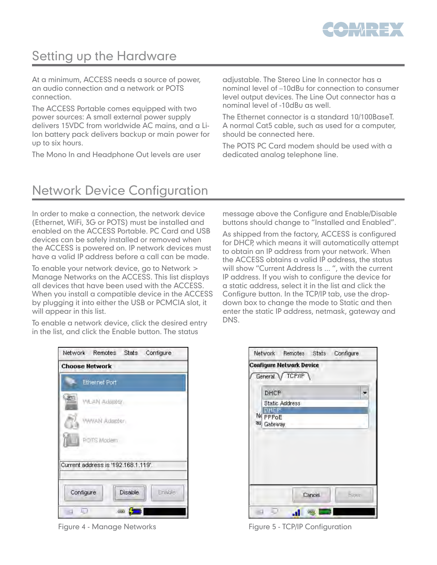

### Setting up the Hardware

At a minimum, ACCESS needs a source of power, an audio connection and a network or POTS connection.

The ACCESS Portable comes equipped with two power sources: A small external power supply delivers 15VDC from worldwide AC mains, and a Li-Ion battery pack delivers backup or main power for up to six hours.

The Mono In and Headphone Out levels are user

adjustable. The Stereo Line In connector has a nominal level of –10dBu for connection to consumer level output devices. The Line Out connector has a nominal level of -10dBu as well.

The Ethernet connector is a standard 10/100BaseT. A normal Cat5 cable, such as used for a computer, should be connected here.

The POTS PC Card modem should be used with a dedicated analog telephone line.

## Network Device Configuration

In order to make a connection, the network device (Ethernet, WiFi, 3G or POTS) must be installed and enabled on the ACCESS Portable. PC Card and USB devices can be safely installed or removed when the ACCESS is powered on. IP network devices must have a valid IP address before a call can be made.

To enable your network device, go to Network > Manage Networks on the ACCESS. This list displays all devices that have been used with the ACCESS. When you install a compatible device in the ACCESS by plugging it into either the USB or PCMCIA slot, it will appear in this list.

To enable a network device, click the desired entry in the list, and click the Enable button. The status

message above the Configure and Enable/Disable buttons should change to "Installed and Enabled".

As shipped from the factory, ACCESS is configured for DHCP, which means it will automatically attempt to obtain an IP address from your network. When the ACCESS obtains a valid IP address, the status will show "Current Address Is ... ", with the current IP address. If you wish to configure the device for a static address, select it in the list and click the Configure button. In the TCP/IP tab, use the dropdown box to change the mode to Static and then enter the static IP address, netmask, gateway and DNS.

|                       | Network Remotes                     | Stats   | Configure |
|-----------------------|-------------------------------------|---------|-----------|
| <b>Choose Network</b> |                                     |         |           |
|                       | <b>Ethernet Port</b>                |         |           |
| A333                  | <b>WLAN Adapter</b>                 |         |           |
|                       | WWAN Adapter                        |         |           |
|                       | POTS Modern                         |         |           |
|                       | Current address is '192.168.1.119'. |         |           |
| Configure             |                                     | Disable | Enable    |
| 上り<br>$\rightarrow$   |                                     | ⊞       |           |

| <b>Configure Network Device</b><br>General / TCP/IP<br>DHCP<br>Static Address<br>онор<br>Ne PPPoE<br>au Gateway |  | Network Remotes | Stats | Configure   |
|-----------------------------------------------------------------------------------------------------------------|--|-----------------|-------|-------------|
|                                                                                                                 |  |                 |       |             |
|                                                                                                                 |  |                 |       |             |
|                                                                                                                 |  |                 |       |             |
|                                                                                                                 |  |                 |       |             |
|                                                                                                                 |  |                 |       |             |
|                                                                                                                 |  |                 |       |             |
|                                                                                                                 |  |                 |       |             |
|                                                                                                                 |  |                 |       |             |
|                                                                                                                 |  |                 |       |             |
|                                                                                                                 |  |                 |       |             |
|                                                                                                                 |  |                 |       |             |
|                                                                                                                 |  |                 |       |             |
|                                                                                                                 |  |                 |       | <b>Save</b> |
| Cancel                                                                                                          |  |                 |       |             |
|                                                                                                                 |  |                 |       |             |

Figure 4 - Manage Networks **Figure 5 - TCP/IP Configuration**